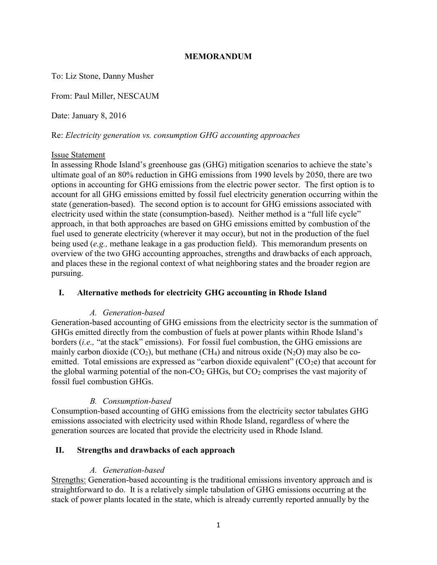#### MEMORANDUM

To: Liz Stone, Danny Musher

From: Paul Miller, NESCAUM

Date: January 8, 2016

Re: Electricity generation vs. consumption GHG accounting approaches

#### Issue Statement

In assessing Rhode Island's greenhouse gas (GHG) mitigation scenarios to achieve the state's ultimate goal of an 80% reduction in GHG emissions from 1990 levels by 2050, there are two options in accounting for GHG emissions from the electric power sector. The first option is to account for all GHG emissions emitted by fossil fuel electricity generation occurring within the state (generation-based). The second option is to account for GHG emissions associated with electricity used within the state (consumption-based). Neither method is a "full life cycle" approach, in that both approaches are based on GHG emissions emitted by combustion of the fuel used to generate electricity (wherever it may occur), but not in the production of the fuel being used (e.g., methane leakage in a gas production field). This memorandum presents on overview of the two GHG accounting approaches, strengths and drawbacks of each approach, and places these in the regional context of what neighboring states and the broader region are pursuing.

## I. Alternative methods for electricity GHG accounting in Rhode Island

## A. Generation-based

Generation-based accounting of GHG emissions from the electricity sector is the summation of GHGs emitted directly from the combustion of fuels at power plants within Rhode Island's borders *(i.e.,* "at the stack" emissions). For fossil fuel combustion, the GHG emissions are mainly carbon dioxide  $(CO_2)$ , but methane  $(CH_4)$  and nitrous oxide  $(N_2O)$  may also be coemitted. Total emissions are expressed as "carbon dioxide equivalent"  $(CO_2e)$  that account for the global warming potential of the non- $CO<sub>2</sub>$  GHGs, but  $CO<sub>2</sub>$  comprises the vast majority of fossil fuel combustion GHGs.

#### B. Consumption-based

Consumption-based accounting of GHG emissions from the electricity sector tabulates GHG emissions associated with electricity used within Rhode Island, regardless of where the generation sources are located that provide the electricity used in Rhode Island.

#### II. Strengths and drawbacks of each approach

#### A. Generation-based

Strengths: Generation-based accounting is the traditional emissions inventory approach and is straightforward to do. It is a relatively simple tabulation of GHG emissions occurring at the stack of power plants located in the state, which is already currently reported annually by the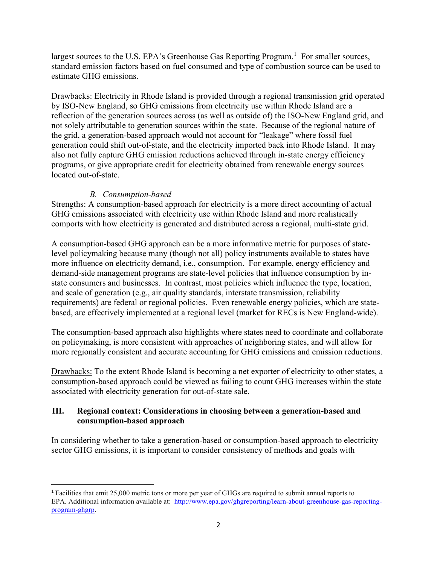largest sources to the U.S. EPA's Greenhouse Gas Reporting Program.<sup>1</sup> For smaller sources, standard emission factors based on fuel consumed and type of combustion source can be used to estimate GHG emissions.

Drawbacks: Electricity in Rhode Island is provided through a regional transmission grid operated by ISO-New England, so GHG emissions from electricity use within Rhode Island are a reflection of the generation sources across (as well as outside of) the ISO-New England grid, and not solely attributable to generation sources within the state. Because of the regional nature of the grid, a generation-based approach would not account for "leakage" where fossil fuel generation could shift out-of-state, and the electricity imported back into Rhode Island. It may also not fully capture GHG emission reductions achieved through in-state energy efficiency programs, or give appropriate credit for electricity obtained from renewable energy sources located out-of-state.

# B. Consumption-based

Strengths: A consumption-based approach for electricity is a more direct accounting of actual GHG emissions associated with electricity use within Rhode Island and more realistically comports with how electricity is generated and distributed across a regional, multi-state grid.

A consumption-based GHG approach can be a more informative metric for purposes of statelevel policymaking because many (though not all) policy instruments available to states have more influence on electricity demand, i.e., consumption. For example, energy efficiency and demand-side management programs are state-level policies that influence consumption by instate consumers and businesses. In contrast, most policies which influence the type, location, and scale of generation (e.g., air quality standards, interstate transmission, reliability requirements) are federal or regional policies. Even renewable energy policies, which are statebased, are effectively implemented at a regional level (market for RECs is New England-wide).

The consumption-based approach also highlights where states need to coordinate and collaborate on policymaking, is more consistent with approaches of neighboring states, and will allow for more regionally consistent and accurate accounting for GHG emissions and emission reductions.

Drawbacks: To the extent Rhode Island is becoming a net exporter of electricity to other states, a consumption-based approach could be viewed as failing to count GHG increases within the state associated with electricity generation for out-of-state sale.

## III. Regional context: Considerations in choosing between a generation-based and consumption-based approach

In considering whether to take a generation-based or consumption-based approach to electricity sector GHG emissions, it is important to consider consistency of methods and goals with

<sup>1</sup> Facilities that emit 25,000 metric tons or more per year of GHGs are required to submit annual reports to EPA. Additional information available at: http://www.epa.gov/ghgreporting/learn-about-greenhouse-gas-reportingprogram-ghgrp.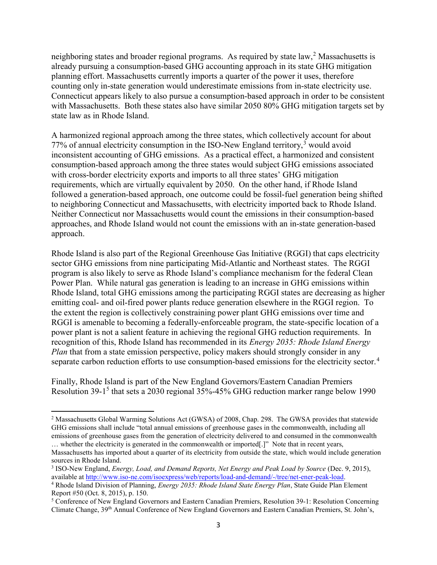neighboring states and broader regional programs. As required by state law,<sup>2</sup> Massachusetts is already pursuing a consumption-based GHG accounting approach in its state GHG mitigation planning effort. Massachusetts currently imports a quarter of the power it uses, therefore counting only in-state generation would underestimate emissions from in-state electricity use. Connecticut appears likely to also pursue a consumption-based approach in order to be consistent with Massachusetts. Both these states also have similar 2050 80% GHG mitigation targets set by state law as in Rhode Island.

A harmonized regional approach among the three states, which collectively account for about 77% of annual electricity consumption in the ISO-New England territory, $3$  would avoid inconsistent accounting of GHG emissions. As a practical effect, a harmonized and consistent consumption-based approach among the three states would subject GHG emissions associated with cross-border electricity exports and imports to all three states' GHG mitigation requirements, which are virtually equivalent by 2050. On the other hand, if Rhode Island followed a generation-based approach, one outcome could be fossil-fuel generation being shifted to neighboring Connecticut and Massachusetts, with electricity imported back to Rhode Island. Neither Connecticut nor Massachusetts would count the emissions in their consumption-based approaches, and Rhode Island would not count the emissions with an in-state generation-based approach.

Rhode Island is also part of the Regional Greenhouse Gas Initiative (RGGI) that caps electricity sector GHG emissions from nine participating Mid-Atlantic and Northeast states. The RGGI program is also likely to serve as Rhode Island's compliance mechanism for the federal Clean Power Plan. While natural gas generation is leading to an increase in GHG emissions within Rhode Island, total GHG emissions among the participating RGGI states are decreasing as higher emitting coal- and oil-fired power plants reduce generation elsewhere in the RGGI region. To the extent the region is collectively constraining power plant GHG emissions over time and RGGI is amenable to becoming a federally-enforceable program, the state-specific location of a power plant is not a salient feature in achieving the regional GHG reduction requirements. In recognition of this, Rhode Island has recommended in its *Energy 2035: Rhode Island Energy* Plan that from a state emission perspective, policy makers should strongly consider in any separate carbon reduction efforts to use consumption-based emissions for the electricity sector.<sup>4</sup>

Finally, Rhode Island is part of the New England Governors/Eastern Canadian Premiers Resolution 39-1<sup>5</sup> that sets a 2030 regional 35%-45% GHG reduction marker range below 1990

<sup>&</sup>lt;sup>2</sup> Massachusetts Global Warming Solutions Act (GWSA) of 2008, Chap. 298. The GWSA provides that statewide GHG emissions shall include "total annual emissions of greenhouse gases in the commonwealth, including all emissions of greenhouse gases from the generation of electricity delivered to and consumed in the commonwealth … whether the electricity is generated in the commonwealth or imported[.]" Note that in recent years,

Massachusetts has imported about a quarter of its electricity from outside the state, which would include generation sources in Rhode Island.

<sup>&</sup>lt;sup>3</sup> ISO-New England, *Energy, Load, and Demand Reports, Net Energy and Peak Load by Source* (Dec. 9, 2015), available at http://www.iso-ne.com/isoexpress/web/reports/load-and-demand/-/tree/net-ener-peak-load.

<sup>&</sup>lt;sup>4</sup> Rhode Island Division of Planning, *Energy 2035: Rhode Island State Energy Plan*, State Guide Plan Element Report #50 (Oct. 8, 2015), p. 150.

<sup>&</sup>lt;sup>5</sup> Conference of New England Governors and Eastern Canadian Premiers, Resolution 39-1: Resolution Concerning Climate Change, 39th Annual Conference of New England Governors and Eastern Canadian Premiers, St. John's,